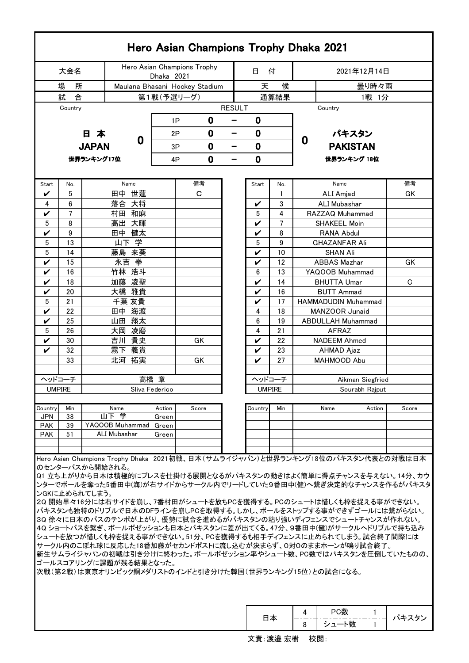|                              |           |                                  |                 |       |                                              |                             |          |        |               |          |                                              | Hero Asian Champions Trophy Dhaka 2021                                                                                                                                                                                                                                                                                                                                                                                                                                                                                                               |                  |                                                                                                                                                                                                       |  |  |
|------------------------------|-----------|----------------------------------|-----------------|-------|----------------------------------------------|-----------------------------|----------|--------|---------------|----------|----------------------------------------------|------------------------------------------------------------------------------------------------------------------------------------------------------------------------------------------------------------------------------------------------------------------------------------------------------------------------------------------------------------------------------------------------------------------------------------------------------------------------------------------------------------------------------------------------------|------------------|-------------------------------------------------------------------------------------------------------------------------------------------------------------------------------------------------------|--|--|
| 大会名                          |           |                                  |                 |       | Dhaka 2021                                   | Hero Asian Champions Trophy |          |        | 日             | 付        |                                              | 2021年12月14日                                                                                                                                                                                                                                                                                                                                                                                                                                                                                                                                          |                  |                                                                                                                                                                                                       |  |  |
| 場<br>所                       |           |                                  |                 |       |                                              |                             |          |        | 天             | 候        |                                              |                                                                                                                                                                                                                                                                                                                                                                                                                                                                                                                                                      | 曇り時々雨            |                                                                                                                                                                                                       |  |  |
| 合<br>試                       |           |                                  |                 |       | Maulana Bhasani Hockey Stadium<br>第1戦(予選リーグ) |                             |          |        |               | 通算結果     |                                              |                                                                                                                                                                                                                                                                                                                                                                                                                                                                                                                                                      | 1戦 1分            |                                                                                                                                                                                                       |  |  |
|                              | Country   |                                  |                 |       |                                              | <b>RESULT</b>               |          |        |               |          |                                              | Country                                                                                                                                                                                                                                                                                                                                                                                                                                                                                                                                              |                  |                                                                                                                                                                                                       |  |  |
|                              |           |                                  |                 |       |                                              |                             |          |        |               |          |                                              |                                                                                                                                                                                                                                                                                                                                                                                                                                                                                                                                                      |                  |                                                                                                                                                                                                       |  |  |
|                              |           |                                  |                 |       | 0<br>1P                                      |                             |          |        | 0             |          |                                              |                                                                                                                                                                                                                                                                                                                                                                                                                                                                                                                                                      |                  |                                                                                                                                                                                                       |  |  |
| 本<br>8.<br>0<br><b>JAPAN</b> |           |                                  |                 |       | 2P                                           |                             | 0<br>-   |        | $\mathbf 0$   |          | 0                                            | パキスタン                                                                                                                                                                                                                                                                                                                                                                                                                                                                                                                                                |                  |                                                                                                                                                                                                       |  |  |
|                              |           |                                  |                 |       |                                              | 0<br>3P                     |          | 0<br>- |               |          |                                              | <b>PAKISTAN</b>                                                                                                                                                                                                                                                                                                                                                                                                                                                                                                                                      |                  |                                                                                                                                                                                                       |  |  |
|                              |           | 世界ランキング17位                       |                 |       | 4P                                           |                             | $\bf{0}$ |        | 0             |          | 世界ランキング 18位                                  |                                                                                                                                                                                                                                                                                                                                                                                                                                                                                                                                                      |                  |                                                                                                                                                                                                       |  |  |
|                              |           |                                  |                 |       |                                              |                             |          |        |               |          |                                              |                                                                                                                                                                                                                                                                                                                                                                                                                                                                                                                                                      |                  |                                                                                                                                                                                                       |  |  |
| Start                        | No.       |                                  |                 | Name  |                                              | 備考                          |          |        | Start         | No.      |                                              | Name                                                                                                                                                                                                                                                                                                                                                                                                                                                                                                                                                 |                  | 備考                                                                                                                                                                                                    |  |  |
| V                            | 5         | 世蓮<br>田中                         |                 |       | C                                            |                             |          |        |               | 1        |                                              | ALI Amjad                                                                                                                                                                                                                                                                                                                                                                                                                                                                                                                                            |                  | GK                                                                                                                                                                                                    |  |  |
| 4                            | 6         |                                  |                 | 落合 大将 |                                              |                             |          | V      | 3             |          | <b>ALI Mubashar</b>                          |                                                                                                                                                                                                                                                                                                                                                                                                                                                                                                                                                      |                  |                                                                                                                                                                                                       |  |  |
| V                            | 7         | 村田 和麻                            |                 |       |                                              |                             |          |        | 5             | 4        |                                              | RAZZAQ Muhammad                                                                                                                                                                                                                                                                                                                                                                                                                                                                                                                                      |                  |                                                                                                                                                                                                       |  |  |
| 5                            | 8         | 高出 大暉                            |                 |       |                                              |                             |          |        | V             | 7        |                                              | <b>SHAKEEL Moin</b>                                                                                                                                                                                                                                                                                                                                                                                                                                                                                                                                  |                  |                                                                                                                                                                                                       |  |  |
| V                            | 9         |                                  | 田中              | 健太    |                                              |                             |          |        | V             | 8        |                                              | <b>RANA Abdul</b>                                                                                                                                                                                                                                                                                                                                                                                                                                                                                                                                    |                  |                                                                                                                                                                                                       |  |  |
| 5                            | 13        | 山下学                              |                 |       |                                              |                             |          |        | 5             | 9        |                                              | <b>GHAZANFAR Ali</b>                                                                                                                                                                                                                                                                                                                                                                                                                                                                                                                                 |                  |                                                                                                                                                                                                       |  |  |
| $\overline{5}$               | 14        | 藤島 来葵                            |                 |       |                                              |                             |          |        | V             | 10       |                                              | <b>SHAN Ali</b>                                                                                                                                                                                                                                                                                                                                                                                                                                                                                                                                      |                  |                                                                                                                                                                                                       |  |  |
| V                            | 15        | 永吉 拳                             |                 |       |                                              |                             |          |        | V             | 12       | <b>ABBAS Mazhar</b>                          |                                                                                                                                                                                                                                                                                                                                                                                                                                                                                                                                                      |                  | GK                                                                                                                                                                                                    |  |  |
| V                            | 16        | 竹林 浩斗                            |                 |       |                                              |                             |          |        | 6             | 13       |                                              | YAQOOB Muhammad                                                                                                                                                                                                                                                                                                                                                                                                                                                                                                                                      |                  |                                                                                                                                                                                                       |  |  |
| V                            | 18        | 凌聖<br>加藤                         |                 |       |                                              |                             |          |        | V             | 14       | <b>BHUTTA Umar</b>                           |                                                                                                                                                                                                                                                                                                                                                                                                                                                                                                                                                      |                  | C                                                                                                                                                                                                     |  |  |
| V                            | 20        | 大橋 雅貴                            |                 |       |                                              |                             |          |        | V             | 16       | <b>BUTT Ammad</b>                            |                                                                                                                                                                                                                                                                                                                                                                                                                                                                                                                                                      |                  |                                                                                                                                                                                                       |  |  |
| 5                            | 21<br>22  | 千葉 友貴<br>田中 海渡                   |                 |       |                                              |                             |          |        | V<br>4        | 17       | <b>HAMMADUDIN Muhammad</b><br>MANZOOR Junaid |                                                                                                                                                                                                                                                                                                                                                                                                                                                                                                                                                      |                  |                                                                                                                                                                                                       |  |  |
| V<br>V                       | 25        | 山田 翔太                            |                 |       |                                              |                             |          |        | 6             | 18<br>19 | <b>ABDULLAH Muhammad</b>                     |                                                                                                                                                                                                                                                                                                                                                                                                                                                                                                                                                      |                  |                                                                                                                                                                                                       |  |  |
| 5                            | 26        | 大岡 凌磨                            |                 |       |                                              |                             |          |        | 4             | 21       | <b>AFRAZ</b>                                 |                                                                                                                                                                                                                                                                                                                                                                                                                                                                                                                                                      |                  |                                                                                                                                                                                                       |  |  |
| V                            | 30        | 吉川 貴史                            |                 |       | GK                                           |                             |          |        | V             | 22       |                                              | <b>NADEEM Ahmed</b>                                                                                                                                                                                                                                                                                                                                                                                                                                                                                                                                  |                  |                                                                                                                                                                                                       |  |  |
| V                            | 32        | 霧下 義貴                            |                 |       |                                              |                             |          |        | V             | 23       |                                              | AHMAD Ajaz                                                                                                                                                                                                                                                                                                                                                                                                                                                                                                                                           |                  |                                                                                                                                                                                                       |  |  |
|                              | 33        |                                  | 北河              | 拓実    | GK                                           |                             |          |        | V             | 27       | <b>MAHMOOD Abu</b>                           |                                                                                                                                                                                                                                                                                                                                                                                                                                                                                                                                                      |                  |                                                                                                                                                                                                       |  |  |
|                              |           |                                  |                 |       |                                              |                             |          |        |               |          |                                              |                                                                                                                                                                                                                                                                                                                                                                                                                                                                                                                                                      |                  |                                                                                                                                                                                                       |  |  |
| ヘッドコーチ                       |           |                                  |                 |       | 高橋 章                                         |                             |          |        | ヘッドコーチ        |          |                                              |                                                                                                                                                                                                                                                                                                                                                                                                                                                                                                                                                      | Aikman Siegfried |                                                                                                                                                                                                       |  |  |
| <b>UMPIRE</b>                |           |                                  |                 |       | Sliva Federico                               |                             |          |        | <b>UMPIRE</b> |          |                                              |                                                                                                                                                                                                                                                                                                                                                                                                                                                                                                                                                      | Sourabh Rajput   |                                                                                                                                                                                                       |  |  |
|                              |           |                                  |                 |       |                                              |                             |          |        |               |          |                                              |                                                                                                                                                                                                                                                                                                                                                                                                                                                                                                                                                      |                  |                                                                                                                                                                                                       |  |  |
| Country<br><b>JPN</b>        | Min<br>38 |                                  | Name<br>山下 学    |       | Action<br>Green                              | Score                       |          |        | Country       | Min      |                                              | Name                                                                                                                                                                                                                                                                                                                                                                                                                                                                                                                                                 | Action           | Score                                                                                                                                                                                                 |  |  |
| <b>PAK</b>                   | 39        |                                  | YAQOOB Muhammad |       | Green                                        |                             |          |        |               |          |                                              |                                                                                                                                                                                                                                                                                                                                                                                                                                                                                                                                                      |                  |                                                                                                                                                                                                       |  |  |
| <b>PAK</b>                   | 51        |                                  | ALI Mubashar    |       | Green                                        |                             |          |        |               |          |                                              |                                                                                                                                                                                                                                                                                                                                                                                                                                                                                                                                                      |                  |                                                                                                                                                                                                       |  |  |
|                              |           |                                  |                 |       |                                              |                             |          |        |               |          |                                              |                                                                                                                                                                                                                                                                                                                                                                                                                                                                                                                                                      |                  |                                                                                                                                                                                                       |  |  |
|                              |           | のセンターパスから開始される。<br>ンGKに止められてしまう。 |                 |       | ゴールスコアリングに課題が残る結果となった。                       |                             |          |        |               |          |                                              | Hero Asian Champions Trophy Dhaka 2021初戦、日本(サムライジャパン)と世界ランキング18位のパキスタン代表との対戦は日本<br>2Q 開始早々16分には右サイドを崩し、7番村田がシュートを放ちPCを獲得する。PCのシュートは惜しくも枠を捉える事ができない。<br>パキスタンも独特のドリブルで日本のDFラインを崩しPCを取得する。しかし、ボールをストップする事ができずゴールには繋がらない。<br>30 徐々に日本のパスのテンポが上がり、優勢に試合を進めるがパキスタンの粘り強いディフェンスでシュートチャンスが作れない。<br>40 ショートパスを繋ぎ、ボールポゼッションも日本とパキスタンに差が出てくる。47分、9番田中(健)がサークルヘドリブルで持ち込み<br>シュートを放つが惜しくも枠を捉える事ができない。51分、PCを獲得するも相手ディフェンスに止められてしまう。試合終了間際には<br>サークル内のこぼれ球に反応した18番加藤がセカンドポストに流し込むが決まらず、0対0のままホーンが鳴り試合終了。<br>次戦(第2戦)は東京オリンピック銅メダリストのインドと引き分けた韓国(世界ランキング15位)との試合になる。 |                  | Q1 立ち上がりから日本は積極的にプレスを仕掛ける展開となるがパキスタンの動きはよく簡単に得点チャンスを与えない。14分、カウ<br>ンターでボールを奪った5番田中(海)が右サイドからサークル内でリードしていた9番田中(健)へ繋ぎ決定的なチャンスを作るがパキスタ<br>新生サムライジャパンの初戦は引き分けに終わった。ボールポゼッション率やシュート数、PC数ではパキスタンを圧倒していたものの、 |  |  |

|  | $-$ Met | ゚キスタン |
|--|---------|-------|
|  | 111     |       |